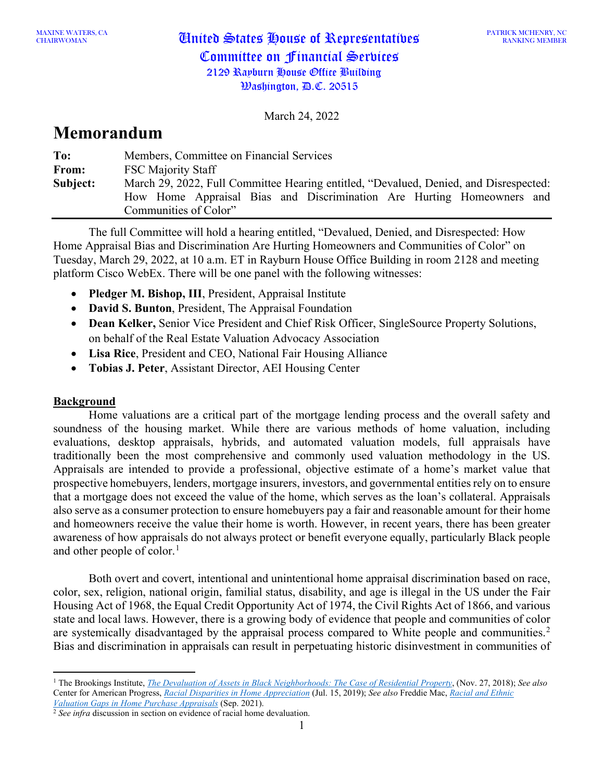PATRICK MCHENRY, NC RANKING MEMBER

March 24, 2022

# **Memorandum**

| To:      | Members, Committee on Financial Services                                              |
|----------|---------------------------------------------------------------------------------------|
| From:    | <b>FSC Majority Staff</b>                                                             |
| Subject: | March 29, 2022, Full Committee Hearing entitled, "Devalued, Denied, and Disrespected: |
|          | How Home Appraisal Bias and Discrimination Are Hurting Homeowners and                 |
|          | Communities of Color"                                                                 |

The full Committee will hold a hearing entitled, "Devalued, Denied, and Disrespected: How Home Appraisal Bias and Discrimination Are Hurting Homeowners and Communities of Color" on Tuesday, March 29, 2022, at 10 a.m. ET in Rayburn House Office Building in room 2128 and meeting platform Cisco WebEx. There will be one panel with the following witnesses:

- **Pledger M. Bishop, III**, President, Appraisal Institute
- **David S. Bunton**, President, The Appraisal Foundation
- **Dean Kelker,** Senior Vice President and Chief Risk Officer, SingleSource Property Solutions, on behalf of the Real Estate Valuation Advocacy Association
- **Lisa Rice**, President and CEO, National Fair Housing Alliance
- **Tobias J. Peter**, Assistant Director, AEI Housing Center

### **Background**

Home valuations are a critical part of the mortgage lending process and the overall safety and soundness of the housing market. While there are various methods of home valuation, including evaluations, desktop appraisals, hybrids, and automated valuation models, full appraisals have traditionally been the most comprehensive and commonly used valuation methodology in the US. Appraisals are intended to provide a professional, objective estimate of a home's market value that prospective homebuyers, lenders, mortgage insurers, investors, and governmental entities rely on to ensure that a mortgage does not exceed the value of the home, which serves as the loan's collateral. Appraisals also serve as a consumer protection to ensure homebuyers pay a fair and reasonable amount for their home and homeowners receive the value their home is worth. However, in recent years, there has been greater awareness of how appraisals do not always protect or benefit everyone equally, particularly Black people and other people of color.<sup>[1](#page-0-0)</sup>

Both overt and covert, intentional and unintentional home appraisal discrimination based on race, color, sex, religion, national origin, familial status, disability, and age is illegal in the US under the Fair Housing Act of 1968, the Equal Credit Opportunity Act of 1974, the Civil Rights Act of 1866, and various state and local laws. However, there is a growing body of evidence that people and communities of color are systemically disadvantaged by the appraisal process compared to White people and communities.<sup>[2](#page-0-1)</sup> Bias and discrimination in appraisals can result in perpetuating historic disinvestment in communities of

<span id="page-0-0"></span><sup>1</sup> The Brookings Institute, *[The Devaluation of Assets in Black Neighborhoods: The Case of Residential Property](https://www.brookings.edu/research/devaluation-of-assets-in-black-neighborhoods/)*, (Nov. 27, 2018); *See also*  Center for American Progress, *[Racial Disparities in Home Appreciation](https://www.americanprogress.org/article/racial-disparities-home-appreciation/)* (Jul. 15, 2019); *See also* Freddie Mac, *[Racial and Ethnic](https://www.freddiemac.com/fmac-resources/research/pdf/202109-Note-Appraisal-Gap.pdf)  [Valuation Gaps in Home Purchase Appraisals](https://www.freddiemac.com/fmac-resources/research/pdf/202109-Note-Appraisal-Gap.pdf)* (Sep. 2021).

<span id="page-0-1"></span><sup>2</sup> *See infra* discussion in section on evidence of racial home devaluation.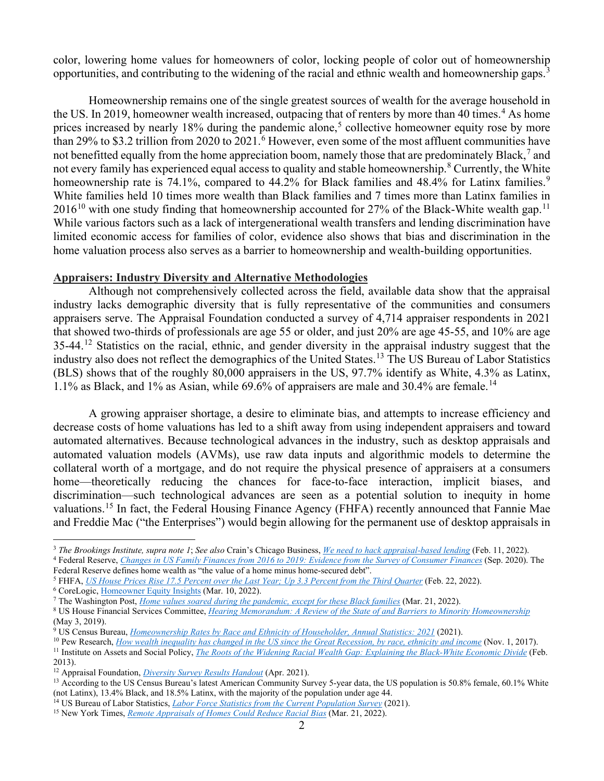color, lowering home values for homeowners of color, locking people of color out of homeownership opportunities, and contributing to the widening of the racial and ethnic wealth and homeownership gaps.<sup>[3](#page-1-0)</sup>

Homeownership remains one of the single greatest sources of wealth for the average household in the US. In 2019, homeowner wealth increased, outpacing that of renters by more than [4](#page-1-1)0 times.<sup>4</sup> As home prices increased by nearly 18% during the pandemic alone,<sup>[5](#page-1-2)</sup> collective homeowner equity rose by more than 29% to \$3.2 trillion from 2020 to  $2021$ .<sup>[6](#page-1-3)</sup> However, even some of the most affluent communities have not benefitted equally from the home appreciation boom, namely those that are predominately Black,<sup>[7](#page-1-4)</sup> and not every family has experienced equal access to quality and stable homeownership.<sup>[8](#page-1-5)</sup> Currently, the White homeownership rate is 74.1%, compared to 44.2% for Black families and 48.4% for Latinx families.<sup>[9](#page-1-6)</sup> White families held 10 times more wealth than Black families and 7 times more than Latinx families in  $2016^{10}$  $2016^{10}$  $2016^{10}$  with one study finding that homeownership accounted for 27% of the Black-White wealth gap.<sup>[11](#page-1-8)</sup> While various factors such as a lack of intergenerational wealth transfers and lending discrimination have limited economic access for families of color, evidence also shows that bias and discrimination in the home valuation process also serves as a barrier to homeownership and wealth-building opportunities.

#### **Appraisers: Industry Diversity and Alternative Methodologies**

Although not comprehensively collected across the field, available data show that the appraisal industry lacks demographic diversity that is fully representative of the communities and consumers appraisers serve. The Appraisal Foundation conducted a survey of 4,714 appraiser respondents in 2021 that showed two-thirds of professionals are age 55 or older, and just 20% are age 45-55, and 10% are age 35-44.<sup>[12](#page-1-9)</sup> Statistics on the racial, ethnic, and gender diversity in the appraisal industry suggest that the industry also does not reflect the demographics of the United States.[13](#page-1-10) The US Bureau of Labor Statistics (BLS) shows that of the roughly 80,000 appraisers in the US, 97.7% identify as White, 4.3% as Latinx, 1.1% as Black, and 1% as Asian, while 69.6% of appraisers are male and 30.4% are female. [14](#page-1-11)

A growing appraiser shortage, a desire to eliminate bias, and attempts to increase efficiency and decrease costs of home valuations has led to a shift away from using independent appraisers and toward automated alternatives. Because technological advances in the industry, such as desktop appraisals and automated valuation models (AVMs), use raw data inputs and algorithmic models to determine the collateral worth of a mortgage, and do not require the physical presence of appraisers at a consumers home—theoretically reducing the chances for face-to-face interaction, implicit biases, and discrimination—such technological advances are seen as a potential solution to inequity in home valuations.<sup>[15](#page-1-12)</sup> In fact, the Federal Housing Finance Agency (FHFA) recently announced that Fannie Mae and Freddie Mac ("the Enterprises") would begin allowing for the permanent use of desktop appraisals in

- <span id="page-1-3"></span><sup>6</sup> CoreLogic, [Homeowner Equity Insights](https://www.corelogic.com/intelligence/homeowner-equity-insights/) (Mar. 10, 2022).
- <span id="page-1-4"></span><sup>7</sup> The Washington Post, *[Home values soared during the pandemic, except for these Black families](https://www.washingtonpost.com/business/2022/03/23/home-appraisal-racial-bias/)* (Mar. 21, 2022).

<span id="page-1-0"></span><sup>3</sup> *The Brookings Institute, supra note 1*; *See also* Crain's Chicago Business, *[We need to hack appraisal-based lending](https://www.chicagobusiness.com/equity/appraisal-based-lending-contributes-racial-wealth-gap)* (Feb. 11, 2022). <sup>4</sup> Federal Reserve, *Changes in US [Family Finances from 2016 to 2019: Evidence from the Survey of](https://www.federalreserve.gov/publications/files/scf20.pdf) Consumer Finances* (Sep. 2020). The

<span id="page-1-1"></span>Federal Reserve defines home wealth as "the value of a home minus home-secured debt".

<span id="page-1-2"></span><sup>5</sup> FHFA, *US [House Prices Rise 17.5 Percent over the Last Year; Up 3.3 Percent from the Third](https://www.fhfa.gov/Media/PublicAffairs/Pages/US-House-Prices-Rise-17pt5-Percent-over-the-Last-Year-Up-3pt3-Percent-from-the-Third-Quarter.aspx) Quarter* (Feb. 22, 2022).

<span id="page-1-5"></span><sup>8</sup> US House Financial Services Committee, *[Hearing Memorandum: A Review of the State of and Barriers to Minority Homeownership](https://financialservices.house.gov/uploadedfiles/hhrg-116-ba04-20190508-sd002_-_memo.pdf)* (May 3, 2019).

<span id="page-1-6"></span><sup>9</sup> US Census Bureau, *[Homeownership Rates by Race and Ethnicity of Householder, Annual Statistics: 2021](https://www.census.gov/housing/hvs/files/annual21/ann21t_22.xlsx)* (2021).

<span id="page-1-7"></span><sup>10</sup> Pew Research, *How wealth inequality has changed in the US [since the Great Recession, by race, ethnicity and income](https://www.pewresearch.org/fact-tank/2017/11/01/how-wealth-inequality-has-changed-in-the-u-s-since-the-great-recession-by-race-ethnicity-and-income/)* (Nov. 1, 2017).

<span id="page-1-8"></span><sup>11</sup> Institute on Assets and Social Policy, *[The Roots of the Widening Racial Wealth Gap: Explaining the Black-White Economic Divide](https://drum.lib.umd.edu/bitstream/handle/1903/24590/racialwealthgapbrief.pdf)* (Feb. 2013).

<span id="page-1-9"></span><sup>12</sup> Appraisal Foundation, *[Diversity Survey Results Handout](https://appraisalfoundation.sharefile.com/share/view/sd4c3bb191a7a4e6f9d6bf06cc04ca9ba)* (Apr. 2021).

<span id="page-1-10"></span><sup>&</sup>lt;sup>13</sup> According to the US Census Bureau's latest American Community Survey 5-year data, the US population is 50.8% female, 60.1% White (not Latinx), 13.4% Black, and 18.5% Latinx, with the majority of the population under age 44.

<span id="page-1-12"></span><span id="page-1-11"></span><sup>14</sup> US Bureau of Labor Statistics, *[Labor Force Statistics from the Current Population Survey](https://www.bls.gov/cps/cpsaat11.htm)* (2021).

<sup>15</sup> New York Times, *[Remote Appraisals of Homes Could Reduce Racial Bias](https://www.nytimes.com/2022/03/21/realestate/remote-home-appraisals-racial-bias.html)* (Mar. 21, 2022).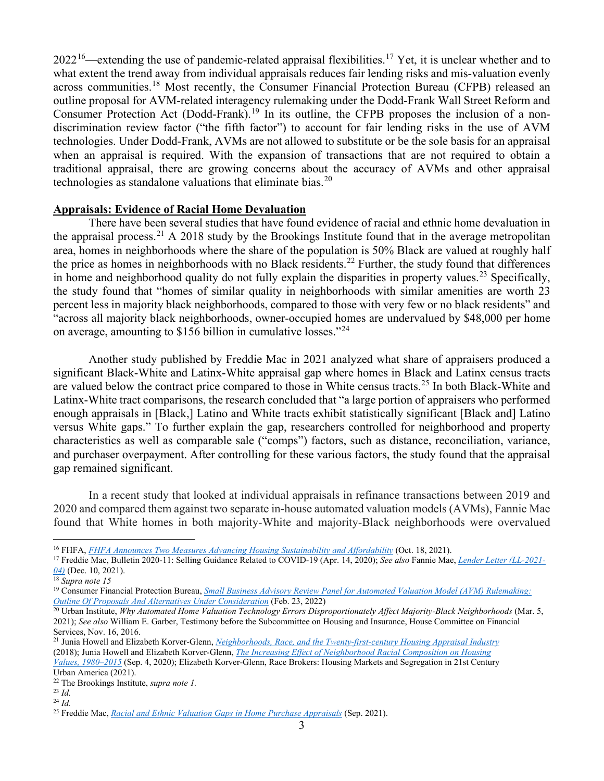$2022^{16}$ —extending the use of pandemic-related appraisal flexibilities.<sup>[17](#page-2-1)</sup> Yet, it is unclear whether and to what extent the trend away from individual appraisals reduces fair lending risks and mis-valuation evenly across communities.<sup>[18](#page-2-2)</sup> Most recently, the Consumer Financial Protection Bureau (CFPB) released an outline proposal for AVM-related interagency rulemaking under the Dodd-Frank Wall Street Reform and Consumer Protection Act (Dodd-Frank).<sup>[19](#page-2-3)</sup> In its outline, the CFPB proposes the inclusion of a nondiscrimination review factor ("the fifth factor") to account for fair lending risks in the use of AVM technologies. Under Dodd-Frank, AVMs are not allowed to substitute or be the sole basis for an appraisal when an appraisal is required. With the expansion of transactions that are not required to obtain a traditional appraisal, there are growing concerns about the accuracy of AVMs and other appraisal technologies as standalone valuations that eliminate bias.<sup>[20](#page-2-4)</sup>

#### **Appraisals: Evidence of Racial Home Devaluation**

There have been several studies that have found evidence of racial and ethnic home devaluation in the appraisal process.<sup>[21](#page-2-5)</sup> A 2018 study by the Brookings Institute found that in the average metropolitan area, homes in neighborhoods where the share of the population is 50% Black are valued at roughly half the price as homes in neighborhoods with no Black residents.<sup>[22](#page-2-6)</sup> Further, the study found that differences in home and neighborhood quality do not fully explain the disparities in property values.<sup>[23](#page-2-7)</sup> Specifically, the study found that "homes of similar quality in neighborhoods with similar amenities are worth 23 percent less in majority black neighborhoods, compared to those with very few or no black residents" and "across all majority black neighborhoods, owner-occupied homes are undervalued by \$48,000 per home on average, amounting to \$156 billion in cumulative losses."[24](#page-2-8)

Another study published by Freddie Mac in 2021 analyzed what share of appraisers produced a significant Black-White and Latinx-White appraisal gap where homes in Black and Latinx census tracts are valued below the contract price compared to those in White census tracts.<sup>[25](#page-2-9)</sup> In both Black-White and Latinx-White tract comparisons, the research concluded that "a large portion of appraisers who performed enough appraisals in [Black,] Latino and White tracts exhibit statistically significant [Black and] Latino versus White gaps." To further explain the gap, researchers controlled for neighborhood and property characteristics as well as comparable sale ("comps") factors, such as distance, reconciliation, variance, and purchaser overpayment. After controlling for these various factors, the study found that the appraisal gap remained significant.

In a recent study that looked at individual appraisals in refinance transactions between 2019 and 2020 and compared them against two separate in-house automated valuation models (AVMs), Fannie Mae found that White homes in both majority-White and majority-Black neighborhoods were overvalued

<span id="page-2-0"></span><sup>16</sup> FHFA, *[FHFA Announces Two Measures Advancing Housing Sustainability and Affordability](https://www.fhfa.gov/Media/PublicAffairs/Pages/FHFA-Announces-Two-Measures-Advancing-Housing-Sustainability-and-Affordability.aspx)* (Oct. 18, 2021).

<span id="page-2-1"></span><sup>17</sup> Freddie Mac, Bulletin 2020-11: Selling Guidance Related to COVID-19 (Apr. 14, 2020); *See also* Fannie Mae, *[Lender Letter \(LL-2021-](https://singlefamily.fanniemae.com/media/24816/display) [04\)](https://singlefamily.fanniemae.com/media/24816/display)* (Dec. 10, 2021).

<span id="page-2-2"></span><sup>18</sup> *Supra note 15*

<span id="page-2-3"></span><sup>19</sup> Consumer Financial Protection Bureau, *[Small Business Advisory Review Panel for Automated Valuation Model \(AVM\) Rulemaking:](https://files.consumerfinance.gov/f/documents/cfpb_avm_outline-of-proposals_2022-02.pdf)  [Outline Of Proposals And Alternatives Under Consideration](https://files.consumerfinance.gov/f/documents/cfpb_avm_outline-of-proposals_2022-02.pdf)* (Feb. 23, 2022)

<span id="page-2-4"></span><sup>&</sup>lt;sup>20</sup> Urban Institute, *Why Automated Home Valuation Technology Errors Disproportionately Affect Majority-Black Neighborhoods (Mar. 5,* 2021); *See also* William E. Garber, Testimony before the Subcommittee on Housing and Insurance, House Committee on Financial Services, Nov. 16, 2016.

<span id="page-2-5"></span><sup>21</sup> Junia Howell and Elizabeth Korver-Glenn, *[Neighborhoods, Race, and the Twenty-first-century Housing Appraisal Industry](https://static1.squarespace.com/static/573ba69bcf80a1323384f7d6/t/5b9bcb212b6a28b42978ff03/1536936738117/Howell+and+Korver-Glenn+2018+Neighborhoods%2C+Race%2C+and+the+Twenty-first-century+Housing+Appraisal+Industry.pdf)* (2018); Junia Howell and Elizabeth Korver-Glenn, *[The Increasing Effect of Neighborhood Racial Composition on Housing](https://academic.oup.com/socpro/article-abstract/68/4/1051/5900507) [Values, 1980–2015](https://academic.oup.com/socpro/article-abstract/68/4/1051/5900507)* (Sep. 4, 2020); Elizabeth Korver-Glenn, Race Brokers: Housing Markets and Segregation in 21st Century Urban America (2021).

<span id="page-2-6"></span><sup>22</sup> The Brookings Institute, *supra note 1.*

<span id="page-2-7"></span><sup>23</sup> *Id.*

<span id="page-2-8"></span><sup>24</sup> *Id.*

<span id="page-2-9"></span><sup>25</sup> Freddie Mac, *Racial and Ethnic Valuation Gaps in Home Purchase Appraisals* (Sep. 2021).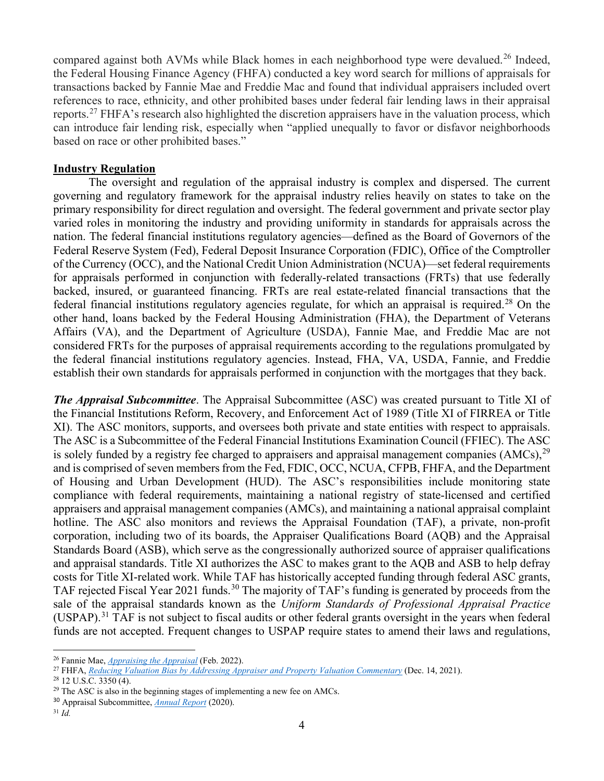compared against both AVMs while Black homes in each neighborhood type were devalued.<sup>[26](#page-3-0)</sup> Indeed, the Federal Housing Finance Agency (FHFA) conducted a key word search for millions of appraisals for transactions backed by Fannie Mae and Freddie Mac and found that individual appraisers included overt references to race, ethnicity, and other prohibited bases under federal fair lending laws in their appraisal reports.<sup>[27](#page-3-1)</sup> FHFA's research also highlighted the discretion appraisers have in the valuation process, which can introduce fair lending risk, especially when "applied unequally to favor or disfavor neighborhoods based on race or other prohibited bases."

#### **Industry Regulation**

The oversight and regulation of the appraisal industry is complex and dispersed. The current governing and regulatory framework for the appraisal industry relies heavily on states to take on the primary responsibility for direct regulation and oversight. The federal government and private sector play varied roles in monitoring the industry and providing uniformity in standards for appraisals across the nation. The federal financial institutions regulatory agencies—defined as the Board of Governors of the Federal Reserve System (Fed), Federal Deposit Insurance Corporation (FDIC), Office of the Comptroller of the Currency (OCC), and the National Credit Union Administration (NCUA)—set federal requirements for appraisals performed in conjunction with federally-related transactions (FRTs) that use federally backed, insured, or guaranteed financing. FRTs are real estate-related financial transactions that the federal financial institutions regulatory agencies regulate, for which an appraisal is required.<sup>[28](#page-3-2)</sup> On the other hand, loans backed by the Federal Housing Administration (FHA), the Department of Veterans Affairs (VA), and the Department of Agriculture (USDA), Fannie Mae, and Freddie Mac are not considered FRTs for the purposes of appraisal requirements according to the regulations promulgated by the federal financial institutions regulatory agencies. Instead, FHA, VA, USDA, Fannie, and Freddie establish their own standards for appraisals performed in conjunction with the mortgages that they back.

*The Appraisal Subcommittee*. The Appraisal Subcommittee (ASC) was created pursuant to Title XI of the Financial Institutions Reform, Recovery, and Enforcement Act of 1989 (Title XI of FIRREA or Title XI). The ASC monitors, supports, and oversees both private and state entities with respect to appraisals. The ASC is a Subcommittee of the Federal Financial Institutions Examination Council (FFIEC). The ASC is solely funded by a registry fee charged to appraisers and appraisal management companies  $(AMCs)$ ,  $^{29}$  $^{29}$  $^{29}$ and is comprised of seven members from the Fed, FDIC, OCC, NCUA, CFPB, FHFA, and the Department of Housing and Urban Development (HUD). The ASC's responsibilities include monitoring state compliance with federal requirements, maintaining a national registry of state-licensed and certified appraisers and appraisal management companies (AMCs), and maintaining a national appraisal complaint hotline. The ASC also monitors and reviews the Appraisal Foundation (TAF), a private, non-profit corporation, including two of its boards, the Appraiser Qualifications Board (AQB) and the Appraisal Standards Board (ASB), which serve as the congressionally authorized source of appraiser qualifications and appraisal standards. Title XI authorizes the ASC to makes grant to the AQB and ASB to help defray costs for Title XI-related work. While TAF has historically accepted funding through federal ASC grants, TAF rejected Fiscal Year 2021 funds.<sup>[30](#page-3-4)</sup> The majority of TAF's funding is generated by proceeds from the sale of the appraisal standards known as the *Uniform Standards of Professional Appraisal Practice*  (USPAP).[31](#page-3-5) TAF is not subject to fiscal audits or other federal grants oversight in the years when federal funds are not accepted. Frequent changes to USPAP require states to amend their laws and regulations,

<span id="page-3-0"></span><sup>26</sup> Fannie Mae, *[Appraising the Appraisal](https://www.fanniemae.com/media/42541/display)* (Feb. 2022).

<span id="page-3-1"></span><sup>27</sup> FHFA, *[Reducing Valuation Bias by Addressing Appraiser and Property Valuation Commentary](https://www.fhfa.gov/Media/Blog/Pages/Reducing-Valuation-Bias-by-Addressing-Appraiser-and-Property-Valuation-Commentary.aspx)* (Dec. 14, 2021).

<span id="page-3-2"></span><sup>28</sup> 12 U.S.C. 3350 (4).

<span id="page-3-3"></span> $29$  The ASC is also in the beginning stages of implementing a new fee on AMCs.

<span id="page-3-4"></span><sup>30</sup> Appraisal Subcommittee, *[Annual Report](https://www.asc.gov/Documents/AnnualReports/2020%20ASC%20Annual%20Report.pdf)* (2020).

<span id="page-3-5"></span><sup>31</sup> *Id.*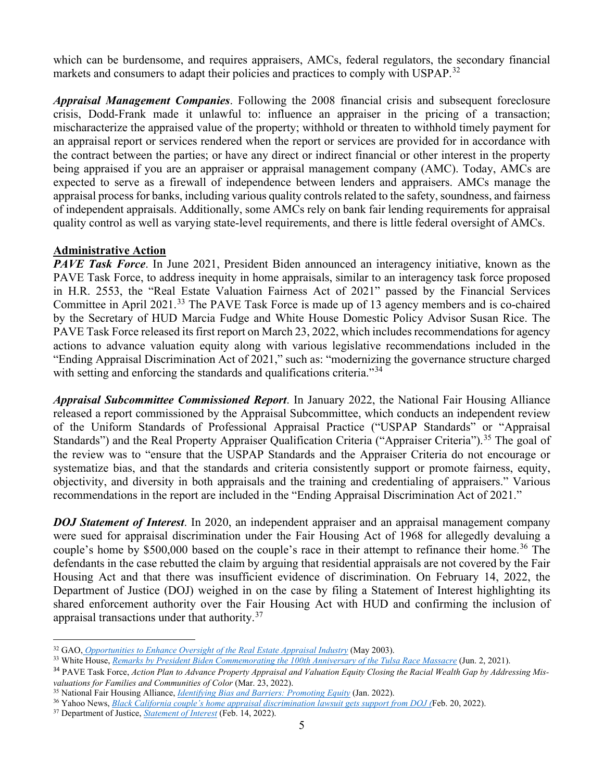which can be burdensome, and requires appraisers, AMCs, federal regulators, the secondary financial markets and consumers to adapt their policies and practices to comply with USPAP.<sup>[32](#page-4-0)</sup>

*Appraisal Management Companies*. Following the 2008 financial crisis and subsequent foreclosure crisis, Dodd-Frank made it unlawful to: influence an appraiser in the pricing of a transaction; mischaracterize the appraised value of the property; withhold or threaten to withhold timely payment for an appraisal report or services rendered when the report or services are provided for in accordance with the contract between the parties; or have any direct or indirect financial or other interest in the property being appraised if you are an appraiser or appraisal management company (AMC). Today, AMCs are expected to serve as a firewall of independence between lenders and appraisers. AMCs manage the appraisal process for banks, including various quality controls related to the safety, soundness, and fairness of independent appraisals. Additionally, some AMCs rely on bank fair lending requirements for appraisal quality control as well as varying state-level requirements, and there is little federal oversight of AMCs.

## **Administrative Action**

*PAVE Task Force*. In June 2021, President Biden announced an interagency initiative, known as the PAVE Task Force, to address inequity in home appraisals, similar to an interagency task force proposed in H.R. 2553, the "Real Estate Valuation Fairness Act of 2021" passed by the Financial Services Committee in April 2021.[33](#page-4-1) The PAVE Task Force is made up of 13 agency members and is co-chaired by the Secretary of HUD Marcia Fudge and White House Domestic Policy Advisor Susan Rice. The PAVE Task Force released its first report on March 23, 2022, which includes recommendations for agency actions to advance valuation equity along with various legislative recommendations included in the "Ending Appraisal Discrimination Act of 2021," such as: "modernizing the governance structure charged with setting and enforcing the standards and qualifications criteria."<sup>[34](#page-4-2)</sup>

*Appraisal Subcommittee Commissioned Report*. In January 2022, the National Fair Housing Alliance released a report commissioned by the Appraisal Subcommittee, which conducts an independent review of the Uniform Standards of Professional Appraisal Practice ("USPAP Standards" or "Appraisal Standards") and the Real Property Appraiser Qualification Criteria ("Appraiser Criteria").<sup>[35](#page-4-3)</sup> The goal of the review was to "ensure that the USPAP Standards and the Appraiser Criteria do not encourage or systematize bias, and that the standards and criteria consistently support or promote fairness, equity, objectivity, and diversity in both appraisals and the training and credentialing of appraisers." Various recommendations in the report are included in the "Ending Appraisal Discrimination Act of 2021."

*DOJ Statement of Interest*. In 2020, an independent appraiser and an appraisal management company were sued for appraisal discrimination under the Fair Housing Act of 1968 for allegedly devaluing a couple's home by \$500,000 based on the couple's race in their attempt to refinance their home. [36](#page-4-4) The defendants in the case rebutted the claim by arguing that residential appraisals are not covered by the Fair Housing Act and that there was insufficient evidence of discrimination. On February 14, 2022, the Department of Justice (DOJ) weighed in on the case by filing a Statement of Interest highlighting its shared enforcement authority over the Fair Housing Act with HUD and confirming the inclusion of appraisal transactions under that authority.[37](#page-4-5)

<span id="page-4-0"></span><sup>32</sup> GAO, *[Opportunities to Enhance Oversight of the Real Estate Appraisal Industry](https://www.gao.gov/assets/gao-03-404.pdf)* (May 2003).

<span id="page-4-1"></span><sup>33</sup> White House, *[Remarks by President Biden Commemorating the 100th Anniversary of the Tulsa Race Massacre](https://www.whitehouse.gov/briefing-room/speeches-remarks/2021/06/02/remarks-by-president-biden-commemorating-the-100th-anniversary-of-the-tulsa-race-massacre/)* (Jun. 2, 2021).

<span id="page-4-2"></span><sup>34</sup> PAVE Task Force, *Action Plan to Advance Property Appraisal and Valuation Equity Closing the Racial Wealth Gap by Addressing Misvaluations for Families and Communities of Color* (Mar. 23, 2022).

<span id="page-4-3"></span><sup>35</sup> National Fair Housing Alliance, *[Identifying Bias and Barriers: Promoting Equity](https://nationalfairhousing.org/wp-content/uploads/2022/02/2022-01-28-NFHA-et-al_Analysis-of-Appraisal-Standards-and-Appraiser-Criteria_FINAL.pdf)* (Jan. 2022).

<span id="page-4-4"></span><sup>36</sup> Yahoo News, *[Black California couple's home appraisal discrimination lawsuit gets support from DOJ \(](https://www.yahoo.com/video/black-california-couple-home-appraisal-154109564.html)*Feb. 20, 2022).

<span id="page-4-5"></span><sup>37</sup> Department of Justice, *[Statement of Interest](https://www.justice.gov/crt/case-document/file/1472031/download)* (Feb. 14, 2022).